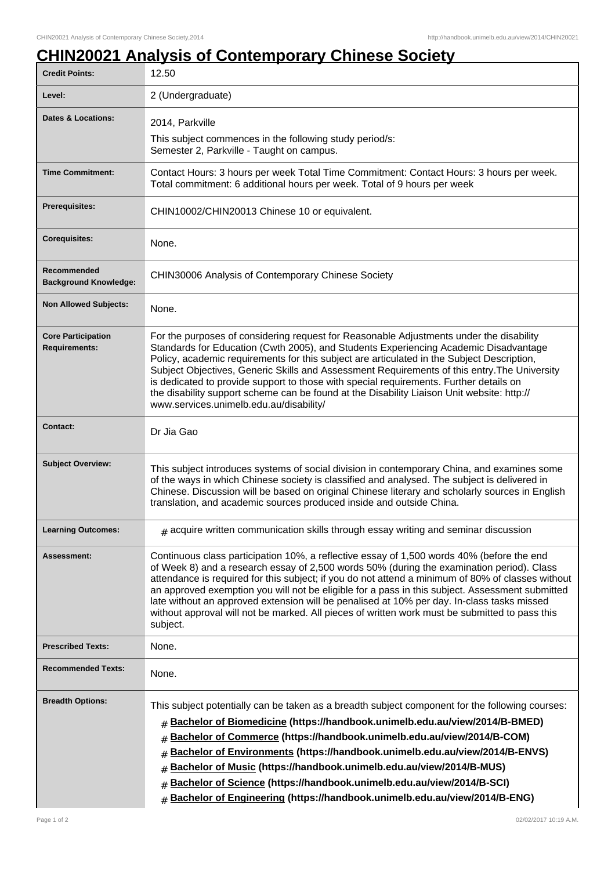## **CHIN20021 Analysis of Contemporary Chinese Society**

| <b>Credit Points:</b>                             | 12.50                                                                                                                                                                                                                                                                                                                                                                                                                                                                                                                                                                                                            |
|---------------------------------------------------|------------------------------------------------------------------------------------------------------------------------------------------------------------------------------------------------------------------------------------------------------------------------------------------------------------------------------------------------------------------------------------------------------------------------------------------------------------------------------------------------------------------------------------------------------------------------------------------------------------------|
| Level:                                            | 2 (Undergraduate)                                                                                                                                                                                                                                                                                                                                                                                                                                                                                                                                                                                                |
| <b>Dates &amp; Locations:</b>                     | 2014, Parkville                                                                                                                                                                                                                                                                                                                                                                                                                                                                                                                                                                                                  |
|                                                   | This subject commences in the following study period/s:<br>Semester 2, Parkville - Taught on campus.                                                                                                                                                                                                                                                                                                                                                                                                                                                                                                             |
| <b>Time Commitment:</b>                           | Contact Hours: 3 hours per week Total Time Commitment: Contact Hours: 3 hours per week.<br>Total commitment: 6 additional hours per week. Total of 9 hours per week                                                                                                                                                                                                                                                                                                                                                                                                                                              |
| Prerequisites:                                    | CHIN10002/CHIN20013 Chinese 10 or equivalent.                                                                                                                                                                                                                                                                                                                                                                                                                                                                                                                                                                    |
| <b>Corequisites:</b>                              | None.                                                                                                                                                                                                                                                                                                                                                                                                                                                                                                                                                                                                            |
| Recommended<br><b>Background Knowledge:</b>       | CHIN30006 Analysis of Contemporary Chinese Society                                                                                                                                                                                                                                                                                                                                                                                                                                                                                                                                                               |
| <b>Non Allowed Subjects:</b>                      | None.                                                                                                                                                                                                                                                                                                                                                                                                                                                                                                                                                                                                            |
| <b>Core Participation</b><br><b>Requirements:</b> | For the purposes of considering request for Reasonable Adjustments under the disability<br>Standards for Education (Cwth 2005), and Students Experiencing Academic Disadvantage<br>Policy, academic requirements for this subject are articulated in the Subject Description,<br>Subject Objectives, Generic Skills and Assessment Requirements of this entry. The University<br>is dedicated to provide support to those with special requirements. Further details on<br>the disability support scheme can be found at the Disability Liaison Unit website: http://<br>www.services.unimelb.edu.au/disability/ |
| <b>Contact:</b>                                   | Dr Jia Gao                                                                                                                                                                                                                                                                                                                                                                                                                                                                                                                                                                                                       |
| <b>Subject Overview:</b>                          | This subject introduces systems of social division in contemporary China, and examines some<br>of the ways in which Chinese society is classified and analysed. The subject is delivered in<br>Chinese. Discussion will be based on original Chinese literary and scholarly sources in English<br>translation, and academic sources produced inside and outside China.                                                                                                                                                                                                                                           |
| <b>Learning Outcomes:</b>                         | $#$ acquire written communication skills through essay writing and seminar discussion                                                                                                                                                                                                                                                                                                                                                                                                                                                                                                                            |
| Assessment:                                       | Continuous class participation 10%, a reflective essay of 1,500 words 40% (before the end<br>of Week 8) and a research essay of 2,500 words 50% (during the examination period). Class<br>attendance is required for this subject; if you do not attend a minimum of 80% of classes without<br>an approved exemption you will not be eligible for a pass in this subject. Assessment submitted<br>late without an approved extension will be penalised at 10% per day. In-class tasks missed<br>without approval will not be marked. All pieces of written work must be submitted to pass this<br>subject.       |
| <b>Prescribed Texts:</b>                          | None.                                                                                                                                                                                                                                                                                                                                                                                                                                                                                                                                                                                                            |
| <b>Recommended Texts:</b>                         | None.                                                                                                                                                                                                                                                                                                                                                                                                                                                                                                                                                                                                            |
| <b>Breadth Options:</b>                           | This subject potentially can be taken as a breadth subject component for the following courses:<br>Bachelor of Biomedicine (https://handbook.unimelb.edu.au/view/2014/B-BMED)<br>#<br>Bachelor of Commerce (https://handbook.unimelb.edu.au/view/2014/B-COM)<br>#<br>Bachelor of Environments (https://handbook.unimelb.edu.au/view/2014/B-ENVS)<br>#<br>Bachelor of Music (https://handbook.unimelb.edu.au/view/2014/B-MUS)<br>#<br>Bachelor of Science (https://handbook.unimelb.edu.au/view/2014/B-SCI)<br>#<br>Bachelor of Engineering (https://handbook.unimelb.edu.au/view/2014/B-ENG)<br>$\pm$            |